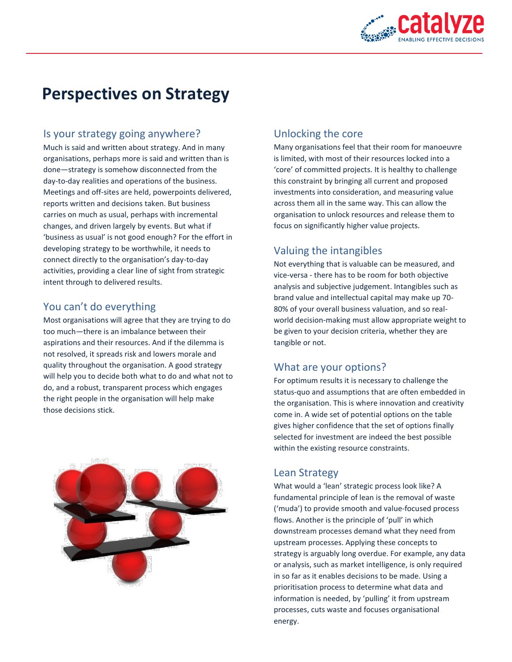

# **Perspectives on Strategy**

#### Is your strategy going anywhere?

Much is said and written about strategy. And in many organisations, perhaps more is said and written than is done—strategy is somehow disconnected from the day-to-day realities and operations of the business. Meetings and off-sites are held, powerpoints delivered, reports written and decisions taken. But business carries on much as usual, perhaps with incremental changes, and driven largely by events. But what if 'business as usual' is not good enough? For the effort in developing strategy to be worthwhile, it needs to connect directly to the organisation's day-to-day activities, providing a clear line of sight from strategic intent through to delivered results.

#### You can't do everything

Most organisations will agree that they are trying to do too much—there is an imbalance between their aspirations and their resources. And if the dilemma is not resolved, it spreads risk and lowers morale and quality throughout the organisation. A good strategy will help you to decide both what to do and what not to do, and a robust, transparent process which engages the right people in the organisation will help make those decisions stick.



#### Unlocking the core

Many organisations feel that their room for manoeuvre is limited, with most of their resources locked into a 'core' of committed projects. It is healthy to challenge this constraint by bringing all current and proposed investments into consideration, and measuring value across them all in the same way. This can allow the organisation to unlock resources and release them to focus on significantly higher value projects.

### Valuing the intangibles

Not everything that is valuable can be measured, and vice-versa - there has to be room for both objective analysis and subjective judgement. Intangibles such as brand value and intellectual capital may make up 70- 80% of your overall business valuation, and so realworld decision-making must allow appropriate weight to be given to your decision criteria, whether they are tangible or not.

#### What are your options?

For optimum results it is necessary to challenge the status-quo and assumptions that are often embedded in the organisation. This is where innovation and creativity come in. A wide set of potential options on the table gives higher confidence that the set of options finally selected for investment are indeed the best possible within the existing resource constraints.

#### Lean Strategy

What would a 'lean' strategic process look like? A fundamental principle of lean is the removal of waste ('muda') to provide smooth and value-focused process flows. Another is the principle of 'pull' in which downstream processes demand what they need from upstream processes. Applying these concepts to strategy is arguably long overdue. For example, any data or analysis, such as market intelligence, is only required in so far as it enables decisions to be made. Using a prioritisation process to determine what data and information is needed, by 'pulling' it from upstream processes, cuts waste and focuses organisational energy.